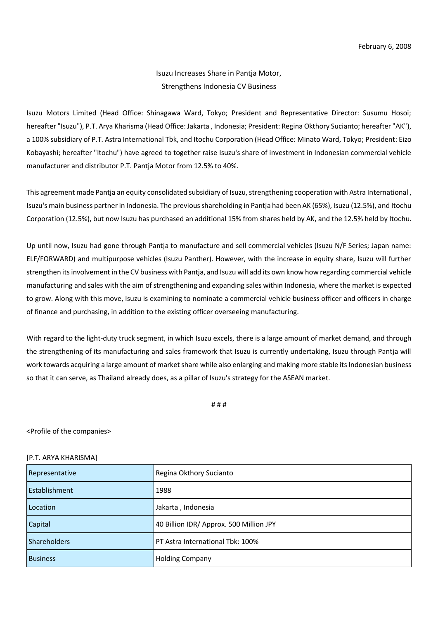## Isuzu Increases Share in Pantja Motor, Strengthens Indonesia CV Business

Isuzu Motors Limited (Head Office: Shinagawa Ward, Tokyo; President and Representative Director: Susumu Hosoi; hereafter "Isuzu"), P.T. Arya Kharisma (Head Office: Jakarta , Indonesia; President: Regina Okthory Sucianto; hereafter "AK"), a 100% subsidiary of P.T. Astra International Tbk, and Itochu Corporation (Head Office: Minato Ward, Tokyo; President: Eizo Kobayashi; hereafter "Itochu") have agreed to together raise Isuzu's share of investment in Indonesian commercial vehicle manufacturer and distributor P.T. Pantja Motor from 12.5% to 40%.

This agreement made Pantja an equity consolidated subsidiary of Isuzu, strengthening cooperation with Astra International , Isuzu's main business partner in Indonesia. The previous shareholding in Pantja had been AK (65%), Isuzu (12.5%), and Itochu Corporation (12.5%), but now Isuzu has purchased an additional 15% from shares held by AK, and the 12.5% held by Itochu.

Up until now, Isuzu had gone through Pantja to manufacture and sell commercial vehicles (Isuzu N/F Series; Japan name: ELF/FORWARD) and multipurpose vehicles (Isuzu Panther). However, with the increase in equity share, Isuzu will further strengthen its involvement in the CV business with Pantja, and Isuzu will add its own know how regarding commercial vehicle manufacturing and sales with the aim of strengthening and expanding sales within Indonesia, where the market is expected to grow. Along with this move, Isuzu is examining to nominate a commercial vehicle business officer and officers in charge of finance and purchasing, in addition to the existing officer overseeing manufacturing.

With regard to the light-duty truck segment, in which Isuzu excels, there is a large amount of market demand, and through the strengthening of its manufacturing and sales framework that Isuzu is currently undertaking, Isuzu through Pantja will work towards acquiring a large amount of market share while also enlarging and making more stable its Indonesian business so that it can serve, as Thailand already does, as a pillar of Isuzu's strategy for the ASEAN market.

# # #

<Profile of the companies>

## [P.T. ARYA KHARISMA]

| Representative      | Regina Okthory Sucianto                 |
|---------------------|-----------------------------------------|
| Establishment       | 1988                                    |
| Location            | Jakarta, Indonesia                      |
| Capital             | 40 Billion IDR/ Approx. 500 Million JPY |
| <b>Shareholders</b> | PT Astra International Tbk: 100%        |
| <b>Business</b>     | <b>Holding Company</b>                  |